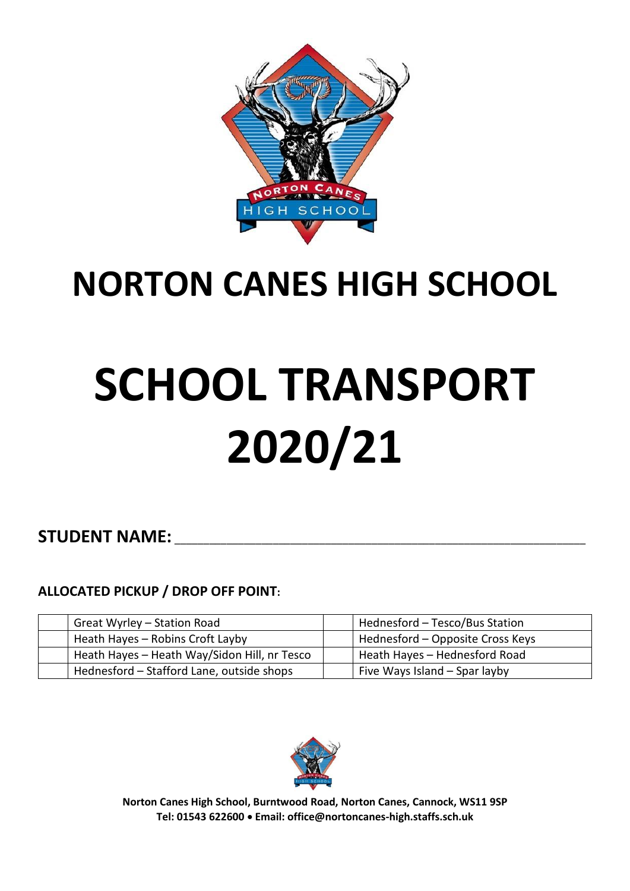

## **NORTON CANES HIGH SCHOOL**

# **SCHOOL TRANSPORT 2020/21**

### STUDENT NAME:

### **ALLOCATED PICKUP / DROP OFF POINT:**

| Great Wyrley - Station Road                  | Hednesford – Tesco/Bus Station   |
|----------------------------------------------|----------------------------------|
| Heath Hayes - Robins Croft Layby             | Hednesford – Opposite Cross Keys |
| Heath Hayes - Heath Way/Sidon Hill, nr Tesco | Heath Hayes - Hednesford Road    |
| Hednesford - Stafford Lane, outside shops    | Five Ways Island - Spar layby    |



**Norton Canes High School, Burntwood Road, Norton Canes, Cannock, WS11 9SP Tel: 01543 622600** • **Email[: office@nortoncanes-high.staffs.sch.uk](mailto:office@nortoncanes-high.staffs.sch.uk)**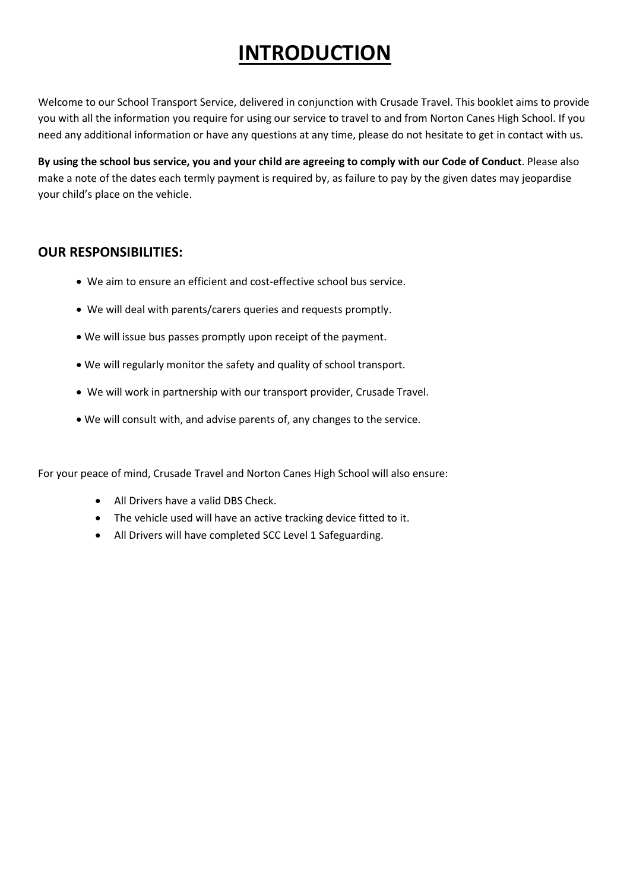### **INTRODUCTION**

Welcome to our School Transport Service, delivered in conjunction with Crusade Travel. This booklet aims to provide you with all the information you require for using our service to travel to and from Norton Canes High School. If you need any additional information or have any questions at any time, please do not hesitate to get in contact with us.

**By using the school bus service, you and your child are agreeing to comply with our Code of Conduct**. Please also make a note of the dates each termly payment is required by, as failure to pay by the given dates may jeopardise your child's place on the vehicle.

### **OUR RESPONSIBILITIES:**

- We aim to ensure an efficient and cost-effective school bus service.
- We will deal with parents/carers queries and requests promptly.
- We will issue bus passes promptly upon receipt of the payment.
- We will regularly monitor the safety and quality of school transport.
- We will work in partnership with our transport provider, Crusade Travel.
- We will consult with, and advise parents of, any changes to the service.

For your peace of mind, Crusade Travel and Norton Canes High School will also ensure:

- All Drivers have a valid DBS Check.
- The vehicle used will have an active tracking device fitted to it.
- All Drivers will have completed SCC Level 1 Safeguarding.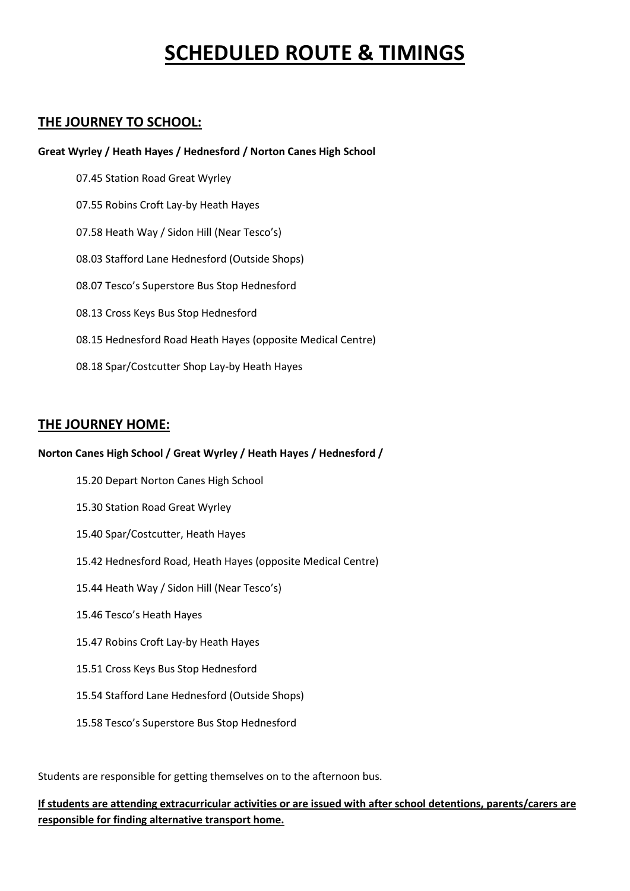### **SCHEDULED ROUTE & TIMINGS**

### **THE JOURNEY TO SCHOOL:**

#### **Great Wyrley / Heath Hayes / Hednesford / Norton Canes High School**

07.45 Station Road Great Wyrley 07.55 Robins Croft Lay-by Heath Hayes 07.58 Heath Way / Sidon Hill (Near Tesco's) 08.03 Stafford Lane Hednesford (Outside Shops) 08.07 Tesco's Superstore Bus Stop Hednesford 08.13 Cross Keys Bus Stop Hednesford 08.15 Hednesford Road Heath Hayes (opposite Medical Centre) 08.18 Spar/Costcutter Shop Lay-by Heath Hayes

#### **THE JOURNEY HOME:**

#### **Norton Canes High School / Great Wyrley / Heath Hayes / Hednesford /**

- 15.20 Depart Norton Canes High School
- 15.30 Station Road Great Wyrley
- 15.40 Spar/Costcutter, Heath Hayes
- 15.42 Hednesford Road, Heath Hayes (opposite Medical Centre)
- 15.44 Heath Way / Sidon Hill (Near Tesco's)
- 15.46 Tesco's Heath Hayes
- 15.47 Robins Croft Lay-by Heath Hayes
- 15.51 Cross Keys Bus Stop Hednesford
- 15.54 Stafford Lane Hednesford (Outside Shops)
- 15.58 Tesco's Superstore Bus Stop Hednesford

Students are responsible for getting themselves on to the afternoon bus.

#### **If students are attending extracurricular activities or are issued with after school detentions, parents/carers are responsible for finding alternative transport home.**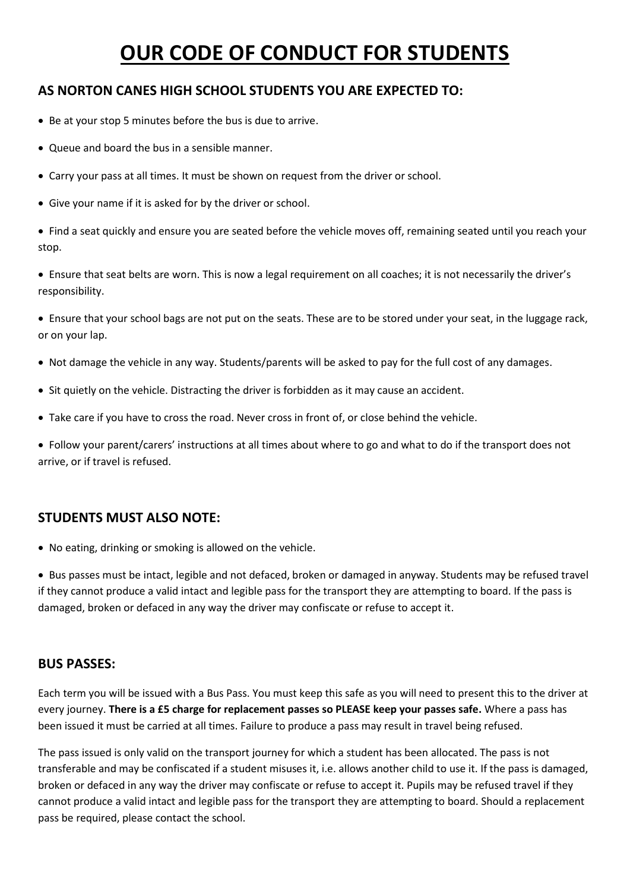### **OUR CODE OF CONDUCT FOR STUDENTS**

### **AS NORTON CANES HIGH SCHOOL STUDENTS YOU ARE EXPECTED TO:**

- Be at your stop 5 minutes before the bus is due to arrive.
- Queue and board the bus in a sensible manner.
- Carry your pass at all times. It must be shown on request from the driver or school.
- Give your name if it is asked for by the driver or school.

• Find a seat quickly and ensure you are seated before the vehicle moves off, remaining seated until you reach your stop.

• Ensure that seat belts are worn. This is now a legal requirement on all coaches; it is not necessarily the driver's responsibility.

• Ensure that your school bags are not put on the seats. These are to be stored under your seat, in the luggage rack, or on your lap.

- Not damage the vehicle in any way. Students/parents will be asked to pay for the full cost of any damages.
- Sit quietly on the vehicle. Distracting the driver is forbidden as it may cause an accident.
- Take care if you have to cross the road. Never cross in front of, or close behind the vehicle.

• Follow your parent/carers' instructions at all times about where to go and what to do if the transport does not arrive, or if travel is refused.

### **STUDENTS MUST ALSO NOTE:**

• No eating, drinking or smoking is allowed on the vehicle.

• Bus passes must be intact, legible and not defaced, broken or damaged in anyway. Students may be refused travel if they cannot produce a valid intact and legible pass for the transport they are attempting to board. If the pass is damaged, broken or defaced in any way the driver may confiscate or refuse to accept it.

#### **BUS PASSES:**

Each term you will be issued with a Bus Pass. You must keep this safe as you will need to present this to the driver at every journey. **There is a £5 charge for replacement passes so PLEASE keep your passes safe.** Where a pass has been issued it must be carried at all times. Failure to produce a pass may result in travel being refused.

The pass issued is only valid on the transport journey for which a student has been allocated. The pass is not transferable and may be confiscated if a student misuses it, i.e. allows another child to use it. If the pass is damaged, broken or defaced in any way the driver may confiscate or refuse to accept it. Pupils may be refused travel if they cannot produce a valid intact and legible pass for the transport they are attempting to board. Should a replacement pass be required, please contact the school.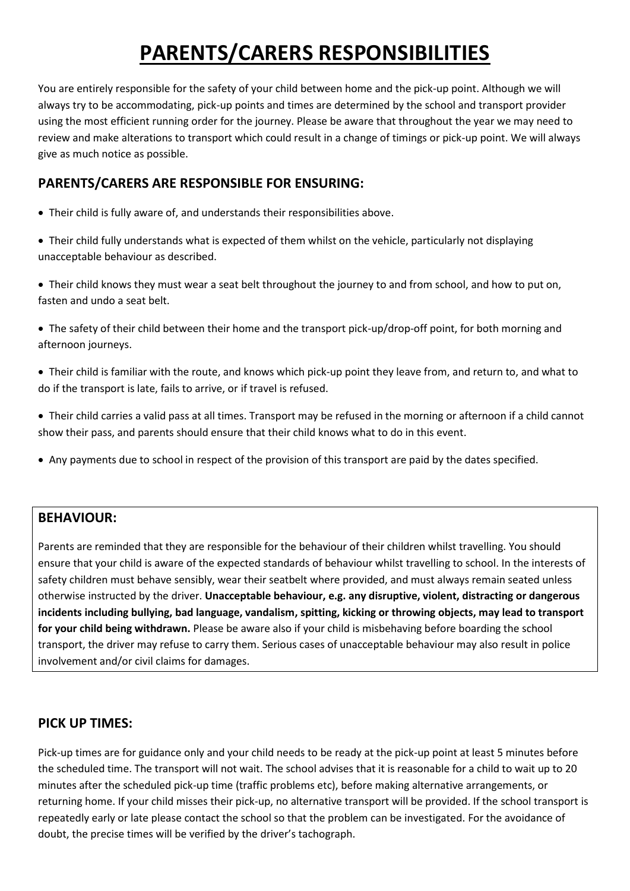### **PARENTS/CARERS RESPONSIBILITIES**

You are entirely responsible for the safety of your child between home and the pick-up point. Although we will always try to be accommodating, pick-up points and times are determined by the school and transport provider using the most efficient running order for the journey. Please be aware that throughout the year we may need to review and make alterations to transport which could result in a change of timings or pick-up point. We will always give as much notice as possible.

### **PARENTS/CARERS ARE RESPONSIBLE FOR ENSURING:**

- Their child is fully aware of, and understands their responsibilities above.
- Their child fully understands what is expected of them whilst on the vehicle, particularly not displaying unacceptable behaviour as described.
- Their child knows they must wear a seat belt throughout the journey to and from school, and how to put on, fasten and undo a seat belt.
- The safety of their child between their home and the transport pick-up/drop-off point, for both morning and afternoon journeys.
- Their child is familiar with the route, and knows which pick-up point they leave from, and return to, and what to do if the transport is late, fails to arrive, or if travel is refused.
- Their child carries a valid pass at all times. Transport may be refused in the morning or afternoon if a child cannot show their pass, and parents should ensure that their child knows what to do in this event.
- Any payments due to school in respect of the provision of this transport are paid by the dates specified.

#### **BEHAVIOUR:**

Parents are reminded that they are responsible for the behaviour of their children whilst travelling. You should ensure that your child is aware of the expected standards of behaviour whilst travelling to school. In the interests of safety children must behave sensibly, wear their seatbelt where provided, and must always remain seated unless otherwise instructed by the driver. **Unacceptable behaviour, e.g. any disruptive, violent, distracting or dangerous incidents including bullying, bad language, vandalism, spitting, kicking or throwing objects, may lead to transport for your child being withdrawn.** Please be aware also if your child is misbehaving before boarding the school transport, the driver may refuse to carry them. Serious cases of unacceptable behaviour may also result in police involvement and/or civil claims for damages.

### **PICK UP TIMES:**

Pick-up times are for guidance only and your child needs to be ready at the pick-up point at least 5 minutes before the scheduled time. The transport will not wait. The school advises that it is reasonable for a child to wait up to 20 minutes after the scheduled pick-up time (traffic problems etc), before making alternative arrangements, or returning home. If your child misses their pick-up, no alternative transport will be provided. If the school transport is repeatedly early or late please contact the school so that the problem can be investigated. For the avoidance of doubt, the precise times will be verified by the driver's tachograph.